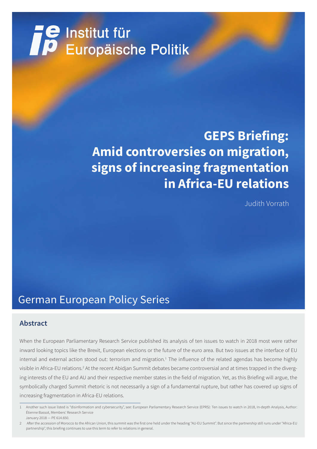# **TE** Institut für<br>Europäische Politik

## **GEPS Briefing: Amid controversies on migration, signs of increasing fragmentation in Africa-EU relations**

Judith Vorrath

## German European Policy Series

## **Abstract**

When the European Parliamentary Research Service published its analysis of ten issues to watch in 2018 most were rather inward looking topics like the Brexit, European elections or the future of the euro area. But two issues at the interface of EU internal and external action stood out: terrorism and migration.<sup>1</sup> The influence of the related agendas has become highly visible in Africa-EU relations.<sup>2</sup> At the recent Abidjan Summit debates became controversial and at times trapped in the diverging interests of the EU and AU and their respective member states in the field of migration. Yet, as this Briefing will argue, the symbolically charged Summit rhetoric is not necessarily a sign of a fundamental rupture, but rather has covered up signs of increasing fragmentation in Africa-EU relations.

<sup>1</sup> Another such issue listed is "disinformation and cybersecurity", see: European Parliamentary Research Service (EPRS): Ten issues to watch in 2018, In-depth Analysis, Author: Étienne Bassot, Members' Research Service January 2018 — PE 614.650.

<sup>2</sup> After the accession of Morocco to the African Union, this summit was the first one held under the heading "AU-EU Summit". But since the partnership still runs under "Africa-EU partnership", this briefing continues to use this term to refer to relations in general.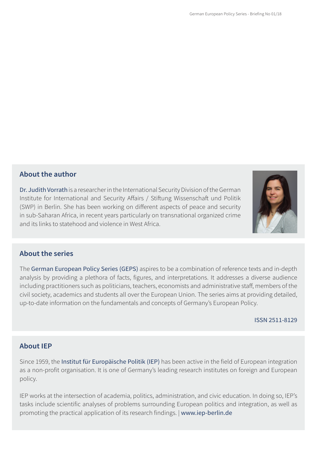## **About the author**

Dr. Judith Vorrath is a researcher in the International Security Division of the German Institute for International and Security Affairs / Stiftung Wissenschaft und Politik (SWP) in Berlin. She has been working on different aspects of peace and security in sub-Saharan Africa, in recent years particularly on transnational organized crime and its links to statehood and violence in West Africa.



## **About the series**

The German European Policy Series (GEPS) aspires to be a combination of reference texts and in-depth analysis by providing a plethora of facts, figures, and interpretations. It addresses a diverse audience including practitioners such as politicians, teachers, economists and administrative staff, members of the civil society, academics and students all over the European Union. The series aims at providing detailed, up-to-date information on the fundamentals and concepts of Germany's European Policy.

#### ISSN 2511-8129

### **About IEP**

Since 1959, the Institut für Europäische Politik (IEP) has been active in the field of European integration as a non-profit organisation. It is one of Germany's leading research institutes on foreign and European policy.

IEP works at the intersection of academia, politics, administration, and civic education. In doing so, IEP's tasks include scientific analyses of problems surrounding European politics and integration, as well as promoting the practical application of its research findings. | www.iep-berlin.de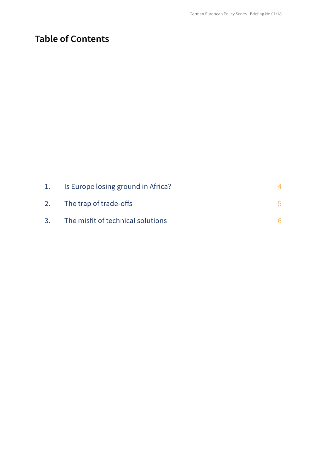## **Table of Contents**

| 1. Is Europe losing ground in Africa? |  |
|---------------------------------------|--|
| 2. The trap of trade-offs             |  |
| 3. The misfit of technical solutions  |  |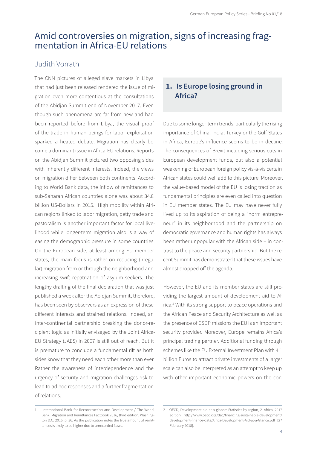## Amid controversies on migration, signs of increasing fragmentation in Africa-EU relations

## Judith Vorrath

The CNN pictures of alleged slave markets in Libya that had just been released rendered the issue of migration even more contentious at the consultations of the Abidjan Summit end of November 2017. Even though such phenomena are far from new and had been reported before from Libya, the visual proof of the trade in human beings for labor exploitation sparked a heated debate. Migration has clearly become a dominant issue in Africa-EU relations. Reports on the Abidjan Summit pictured two opposing sides with inherently different interests. Indeed, the views on migration differ between both continents. According to World Bank data, the inflow of remittances to sub-Saharan African countries alone was about 34.8 billion US-Dollars in 2015.<sup>1</sup> High mobility within African regions linked to labor migration, petty trade and pastoralism is another important factor for local livelihood while longer-term migration also is a way of easing the demographic pressure in some countries. On the European side, at least among EU member states, the main focus is rather on reducing (irregular) migration from or through the neighborhood and increasing swift repatriation of asylum seekers. The lengthy drafting of the final declaration that was just published a week after the Abidjan Summit, therefore, has been seen by observers as an expression of these different interests and strained relations. Indeed, an inter-continental partnership breaking the donor-recipient logic as initially envisaged by the Joint Africa-EU Strategy (JAES) in 2007 is still out of reach. But it is premature to conclude a fundamental rift as both sides know that they need each other more than ever. Rather the awareness of interdependence and the urgency of security and migration challenges risk to lead to ad hoc responses and a further fragmentation of relations.

#### 1 International Bank for Reconstruction and Development / The World Bank, Migration and Remittances Factbook 2016, third edition, Washington D.C. 2016, p. 36. As the publication notes the true amount of remittances is likely to be higher due to unrecorded flows.

## **1. Is Europe losing ground in Africa?**

Due to some longer-term trends, particularly the rising importance of China, India, Turkey or the Gulf States in Africa, Europe's influence seems to be in decline. The consequences of Brexit including serious cuts in European development funds, but also a potential weakening of European foreign policy vis-à-vis certain African states could well add to this picture. Moreover, the value-based model of the EU is losing traction as fundamental principles are even called into question in EU member states. The EU may have never fully lived up to its aspiration of being a "norm entrepreneur" in its neighborhood and the partnership on democratic governance and human rights has always been rather unpopular with the African side – in contrast to the peace and security partnership. But the recent Summit has demonstrated that these issues have almost dropped off the agenda.

However, the EU and its member states are still providing the largest amount of development aid to Africa.2 With its strong support to peace operations and the African Peace and Security Architecture as well as the presence of CSDP missions the EU is an important security provider. Moreover, Europe remains Africa's principal trading partner. Additional funding through schemes like the EU External Investment Plan with 4.1 billion Euros to attract private investments of a larger scale can also be interpreted as an attempt to keep up with other important economic powers on the con-

<sup>2</sup> OECD, Development aid at a glance: Statistics by region, 2. Africa, 2017 edition: http://www.oecd.org/dac/financing-sustainable-development/ development-finance-data/Africa-Development-Aid-at-a-Glance.pdf [27 February 2018].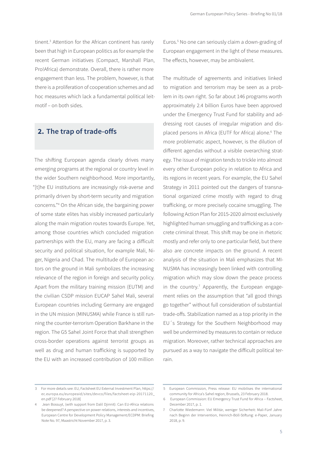tinent.<sup>3</sup> Attention for the African continent has rarely been that high in European politics as for example the recent German initiatives (Compact, Marshall Plan, Pro!Africa) demonstrate. Overall, there is rather more engagement than less. The problem, however, is that there is a proliferation of cooperation schemes and ad hoc measures which lack a fundamental political leitmotif – on both sides.

## **2. The trap of trade-offs**

The shifting European agenda clearly drives many emerging programs at the regional or country level in the wider Southern neighborhood. More importantly, "[t]he EU institutions are increasingly risk-averse and primarily driven by short-term security and migration concerns."4 On the African side, the bargaining power of some state elites has visibly increased particularly along the main migration routes towards Europe. Yet, among those countries which concluded migration partnerships with the EU, many are facing a difficult security and political situation, for example Mali, Niger, Nigeria and Chad. The multitude of European actors on the ground in Mali symbolizes the increasing relevance of the region in foreign and security policy. Apart from the military training mission (EUTM) and the civilian CSDP mission EUCAP Sahel Mali, several European countries including Germany are engaged in the UN mission (MINUSMA) while France is still running the counter-terrorism Operation Barkhane in the region. The G5 Sahel Joint Force that shall strengthen cross-border operations against terrorist groups as well as drug and human trafficking is supported by the EU with an increased contribution of 100 million

Euros.5 No one can seriously claim a down-grading of European engagement in the light of these measures. The effects, however, may be ambivalent.

The multitude of agreements and initiatives linked to migration and terrorism may be seen as a problem in its own right. So far about 146 programs worth approximately 2.4 billion Euros have been approved under the Emergency Trust Fund for stability and addressing root causes of irregular migration and displaced persons in Africa (EUTF for Africa) alone.<sup>6</sup> The more problematic aspect, however, is the dilution of different agendas without a visible overarching strategy. The issue of migration tends to trickle into almost every other European policy in relation to Africa and its regions in recent years. For example, the EU Sahel Strategy in 2011 pointed out the dangers of transnational organized crime mostly with regard to drug trafficking, or more precisely cocaine smuggling. The following Action Plan for 2015-2020 almost exclusively highlighted human smuggling and trafficking as a concrete criminal threat. This shift may be one in rhetoric mostly and refer only to one particular field, but there also are concrete impacts on the ground. A recent analysis of the situation in Mali emphasizes that MI-NUSMA has increasingly been linked with controlling migration which may slow down the peace process in the country.<sup>7</sup> Apparently, the European engagement relies on the assumption that "all good things go together" without full consideration of substantial trade-offs. Stabilization named as a top priority in the EU´s Strategy for the Southern Neighborhood may well be undermined by measures to contain or reduce migration. Moreover, rather technical approaches are pursued as a way to navigate the difficult political terrain.

<sup>3</sup> For more details see: EU, Factsheet EU External Investment Plan, https:// ec.europa.eu/europeaid/sites/devco/files/factsheet-eip-20171120\_ en.pdf [27 February 2018]

<sup>4</sup> Jean Bossuyt, (with support from Dalil Djinnit): Can EU-Africa relations be deepened? A perspective on power-relations, interests and incentives, European Centre for Development Policy Management/ECDPM: Briefing Note No. 97, Maastricht November 2017, p. 3.

<sup>5</sup> European Commission, Press release: EU mobilises the international community for Africa's Sahel region, Brussels, 23 February 2018.

<sup>6</sup> European Commission: EU Emergency Trust Fund for Africa – Factsheet, December 2017, p. 1.

<sup>7</sup> Charlotte Wiedemann: Viel Militär, weniger Sicherheit: Mali-Fünf Jahre nach Beginn der Intervention, Heinrich-Böll-Stiftung: e-Paper, January 2018, p. 9.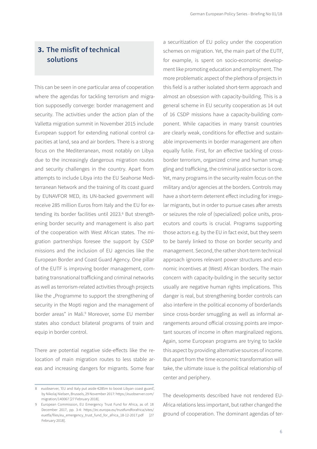## **3. The misfit of technical solutions**

This can be seen in one particular area of cooperation where the agendas for tackling terrorism and migration supposedly converge: border management and security. The activities under the action plan of the Valletta migration summit in November 2015 include European support for extending national control capacities at land, sea and air borders. There is a strong focus on the Mediterranean, most notably on Libya due to the increasingly dangerous migration routes and security challenges in the country. Apart from attempts to include Libya into the EU Seahorse Mediterranean Network and the training of its coast guard by EUNAVFOR MED, its UN-backed government will receive 285 million Euros from Italy and the EU for extending its border facilities until 2023.<sup>8</sup> But strengthening border security and management is also part of the cooperation with West African states. The migration partnerships foresee the support by CSDP missions and the inclusion of EU agencies like the European Border and Coast Guard Agency. One pillar of the EUTF is improving border management, combating transnational trafficking and criminal networks as well as terrorism-related activities through projects like the "Programme to support the strengthening of security in the Mopti region and the management of border areas" in Mali.<sup>9</sup> Moreover, some EU member states also conduct bilateral programs of train and equip in border control.

There are potential negative side-effects like the relocation of main migration routes to less stable areas and increasing dangers for migrants. Some fear

a securitization of EU policy under the cooperation schemes on migration. Yet, the main part of the EUTF, for example, is spent on socio-economic development like promoting education and employment. The more problematic aspect of the plethora of projects in this field is a rather isolated short-term approach and almost an obsession with capacity-building. This is a general scheme in EU security cooperation as 14 out of 16 CSDP missions have a capacity-building component. While capacities in many transit countries are clearly weak, conditions for effective and sustainable improvements in border management are often equally futile. First, for an effective tackling of crossborder terrorism, organized crime and human smuggling and trafficking, the criminal justice sector is core. Yet, many programs in the security realm focus on the military and/or agencies at the borders. Controls may have a short-term deterrent effect including for irregular migrants, but in order to pursue cases after arrests or seizures the role of (specialized) police units, prosecutors and courts is crucial. Programs supporting those actors e.g. by the EU in fact exist, but they seem to be barely linked to those on border security and management. Second, the rather short-term technical approach ignores relevant power structures and economic incentives at (West) African borders. The main concern with capacity-building in the security sector usually are negative human rights implications. This danger is real, but strengthening border controls can also interfere in the political economy of borderlands since cross-border smuggling as well as informal arrangements around official crossing points are important sources of income in often marginalized regions. Again, some European programs are trying to tackle this aspect by providing alternative sources of income. But apart from the time economic transformation will take, the ultimate issue is the political relationship of center and periphery.

The developments described have not rendered EU-Africa relations less important, but rather changed the ground of cooperation. The dominant agendas of ter-

<sup>8</sup> euobserver, 'EU and Italy put aside €285m to boost Libyan coast guard', by Nikolaj Nielsen, Brussels, 29 November 2017: https://euobserver.com/ migration/140067 [27 February 2018].

<sup>9</sup> European Commission, EU Emergency Trust Fund for Africa, as of: 18 December 2017, pp. 3-4: https://ec.europa.eu/trustfundforafrica/sites/ euetfa/files/eu\_emergency\_trust\_fund\_for\_africa\_18-12-2017.pdf [27 February 2018].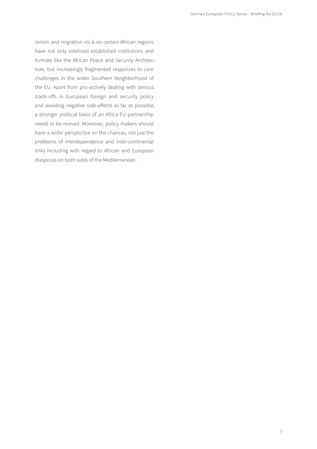rorism and migration vis-à-vis certain African regions have not only sidelined established institutions and formats like the African Peace and Security Architecture, but increasingly fragmented responses to core challenges in the wider Southern Neighborhood of the EU. Apart from pro-actively dealing with serious trade-offs in European foreign and security policy and avoiding negative side-effects as far as possible, a stronger political basis of an Africa-EU partnership needs to be revived. Moreover, policy makers should have a wider perspective on the chances, not just the problems of interdependence and inter-continental links including with regard to African and European diasporas on both sides of the Mediterranean.